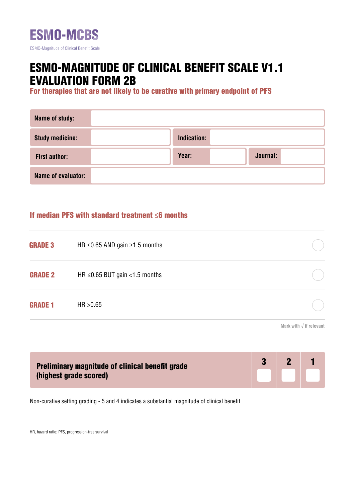

# ESMO-MAGNITUDE OF CLINICAL BENEFIT SCALE V1.1 EVALUATION FORM 2B

For therapies that are not likely to be curative with primary endpoint of PFS

| Name of study:         |             |          |
|------------------------|-------------|----------|
| <b>Study medicine:</b> | Indication: |          |
| <b>First author:</b>   | Year:       | Journal: |
| Name of evaluator:     |             |          |

## If median PFS with standard treatment ≤6 months

| <b>GRADE 3</b> | HR $\leq$ 0.65 AND gain $\geq$ 1.5 months |  |
|----------------|-------------------------------------------|--|
| <b>GRADE 2</b> | HR $\leq$ 0.65 BUT gain <1.5 months       |  |
| <b>GRADE 1</b> | HR > 0.65                                 |  |
|                |                                           |  |

**Mark with √ if relevant**

| <b>Preliminary magnitude of clinical benefit grade</b> | $\mathbf{P}$ |  |
|--------------------------------------------------------|--------------|--|
| (highest grade scored)                                 |              |  |

Non-curative setting grading - 5 and 4 indicates a substantial magnitude of clinical benefit

HR, hazard ratio; PFS, progression-free survival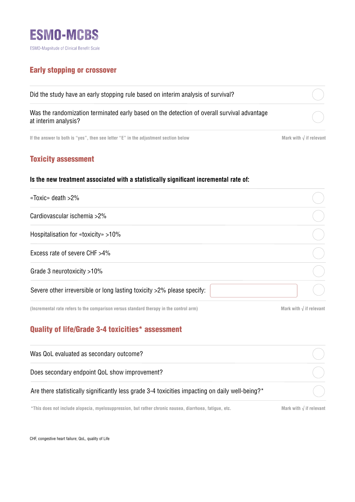

## Early stopping or crossover

| Did the study have an early stopping rule based on interim analysis of survival?                                    |  |
|---------------------------------------------------------------------------------------------------------------------|--|
| Was the randomization terminated early based on the detection of overall survival advantage<br>at interim analysis? |  |
|                                                                                                                     |  |

**If the answer to both is "yes", then see letter "E" in the adjustment section below Mark with √ if relevant**

## Toxicity assessment

#### **Is the new treatment associated with a statistically significant incremental rate of:**

| «Toxic» death >2%                                                      |  |
|------------------------------------------------------------------------|--|
| Cardiovascular ischemia >2%                                            |  |
| Hospitalisation for «toxicity» >10%                                    |  |
| Excess rate of severe CHF >4%                                          |  |
| Grade 3 neurotoxicity >10%                                             |  |
| Severe other irreversible or long lasting toxicity >2% please specify: |  |

**(Incremental rate refers to the comparison versus standard therapy in the control arm)**

**Mark with √ if relevant**

# Quality of life/Grade 3-4 toxicities\* assessment

| Was QoL evaluated as secondary outcome?                                                                |                                  |
|--------------------------------------------------------------------------------------------------------|----------------------------------|
| Does secondary endpoint QoL show improvement?                                                          |                                  |
| Are there statistically significantly less grade 3-4 toxicities impacting on daily well-being?*        |                                  |
| *This does not include alopecia, myelosuppression, but rather chronic nausea, diarrhoea, fatique, etc. | Mark with $\sqrt{ }$ if relevant |

CHF, congestive heart failure; QoL, quality of Life